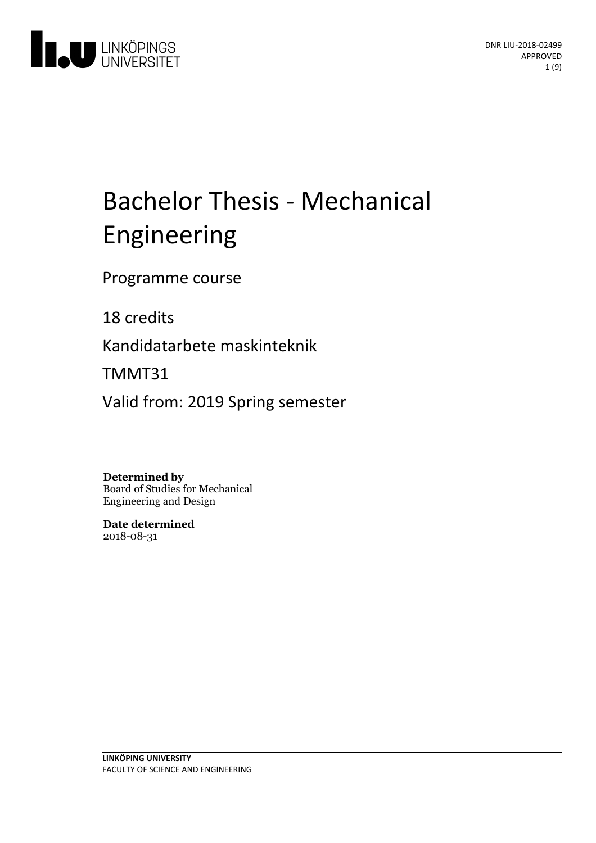

# Bachelor Thesis - Mechanical Engineering

Programme course

18 credits

Kandidatarbete maskinteknik

TMMT31

Valid from: 2019 Spring semester

**Determined by** Board of Studies for Mechanical Engineering and Design

**Date determined** 2018-08-31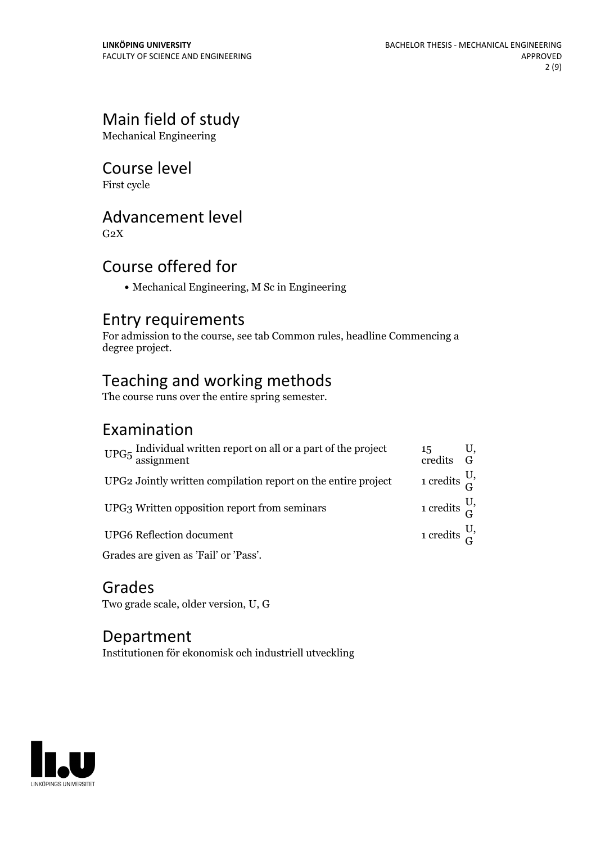# Main field of study

Mechanical Engineering

# Course level

First cycle

# Advancement level

 $G<sub>2</sub>X$ 

# Course offered for

Mechanical Engineering, M Sc in Engineering

# Entry requirements

For admission to the course, see tab Common rules, headline Commencing a degree project.

# Teaching and working methods

The course runs over the entire spring semester.

# Examination

| $\mathrm{UPG}5\:\text{\small{Individual}}$ written report on all or a part of the project assignment | 15<br>credits G             | U, |
|------------------------------------------------------------------------------------------------------|-----------------------------|----|
| UPG2 Jointly written compilation report on the entire project                                        | 1 credits $\frac{U}{C}$     |    |
| UPG3 Written opposition report from seminars                                                         | 1 credits $\frac{U_2}{C_1}$ |    |
| <b>UPG6</b> Reflection document                                                                      | 1 credits $\frac{U}{C}$     |    |
| Grades are given as 'Fail' or 'Pass'.                                                                |                             |    |

Grades Two grade scale, older version, U, G

# Department

Institutionen för ekonomisk och industriell utveckling

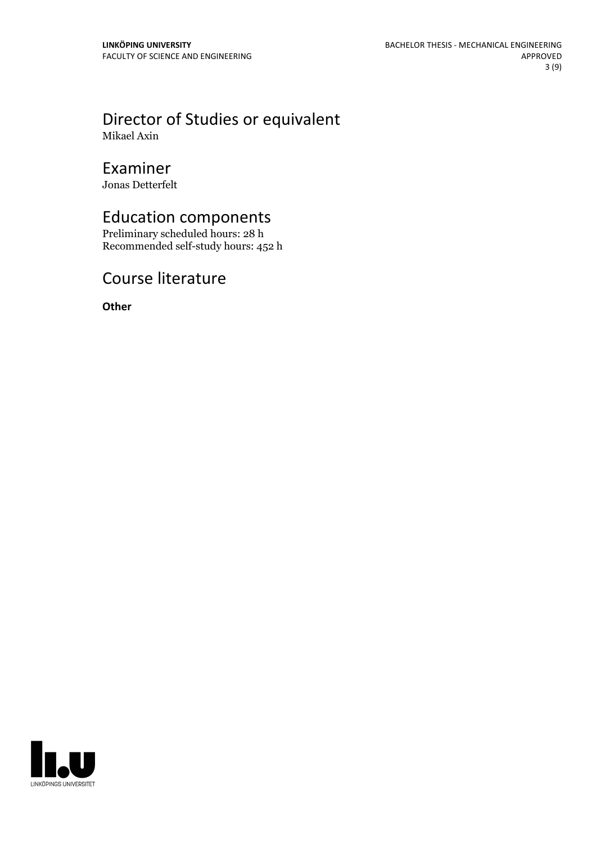## Director of Studies or equivalent Mikael Axin

# Examiner

Jonas Detterfelt

# Education components

Preliminary scheduled hours: 28 h Recommended self-study hours: 452 h

# Course literature

**Other**

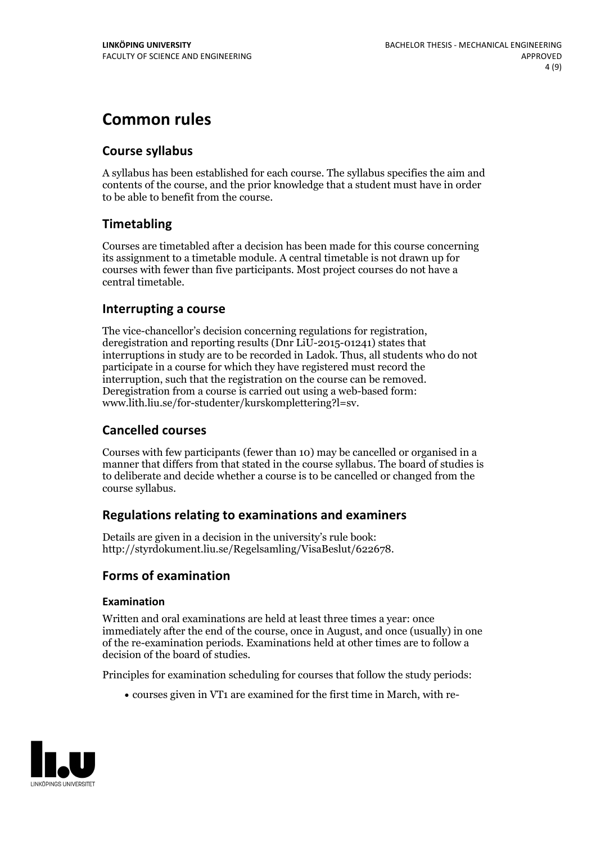# **Common rules**

### **Course syllabus**

A syllabus has been established for each course. The syllabus specifies the aim and contents of the course, and the prior knowledge that a student must have in order to be able to benefit from the course.

### **Timetabling**

Courses are timetabled after a decision has been made for this course concerning its assignment to a timetable module. A central timetable is not drawn up for courses with fewer than five participants. Most project courses do not have a central timetable.

### **Interrupting a course**

The vice-chancellor's decision concerning regulations for registration, deregistration and reporting results (Dnr LiU-2015-01241) states that interruptions in study are to be recorded in Ladok. Thus, all students who do not participate in a course for which they have registered must record the interruption, such that the registration on the course can be removed. Deregistration from <sup>a</sup> course is carried outusing <sup>a</sup> web-based form: www.lith.liu.se/for-studenter/kurskomplettering?l=sv.

### **Cancelled courses**

Courses with few participants (fewer than 10) may be cancelled or organised in a manner that differs from that stated in the course syllabus. The board of studies is to deliberate and decide whether a course is to be cancelled orchanged from the course syllabus.

### **Regulations relatingto examinations and examiners**

Details are given in a decision in the university's rule book: http://styrdokument.liu.se/Regelsamling/VisaBeslut/622678.

### **Forms of examination**

### **Examination**

Written and oral examinations are held at least three times a year: once immediately after the end of the course, once in August, and once (usually) in one of the re-examination periods. Examinations held at other times are to follow a decision of the board of studies.

Principles for examination scheduling for courses that follow the study periods:

courses given in VT1 are examined for the first time in March, with re-

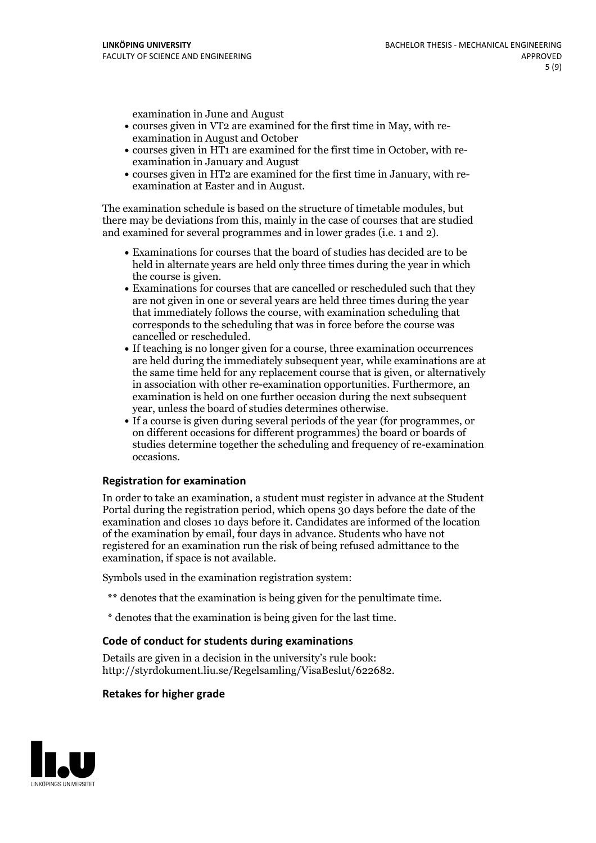examination in June and August

- courses given in VT2 are examined for the first time in May, with re-examination in August and October
- courses given in HT1 are examined for the first time in October, with re-examination in January and August
- courses given in HT2 are examined for the first time in January, with re-examination at Easter and in August.

The examination schedule is based on the structure of timetable modules, but there may be deviations from this, mainly in the case of courses that are studied and examined for several programmes and in lower grades (i.e. 1 and 2).

- Examinations for courses that the board of studies has decided are to be held in alternate years are held only three times during the year in which
- the course is given.<br>• Examinations for courses that are cancelled or rescheduled such that they are not given in one or several years are held three times during the year that immediately follows the course, with examination scheduling that corresponds to the scheduling that was in force before the course was cancelled or rescheduled.<br>• If teaching is no longer given for a course, three examination occurrences
- are held during the immediately subsequent year, while examinations are at the same time held for any replacement course that is given, or alternatively in association with other re-examination opportunities. Furthermore, an examination is held on one further occasion during the next subsequent year, unless the board of studies determines otherwise.<br>• If a course is given during several periods of the year (for programmes, or
- on different occasions for different programmes) the board orboards of studies determine together the scheduling and frequency of re-examination occasions.

### **Registration for examination**

In order to take an examination, a student must register in advance at the Student Portal during the registration period, which opens 30 days before the date of the examination and closes 10 days before it. Candidates are informed of the location of the examination by email, four days in advance. Students who have not registered for an examination run the risk of being refused admittance to the examination, if space is not available.

Symbols used in the examination registration system:

- \*\* denotes that the examination is being given for the penultimate time.
- \* denotes that the examination is being given for the last time.

### **Code of conduct for students during examinations**

Details are given in a decision in the university's rule book: http://styrdokument.liu.se/Regelsamling/VisaBeslut/622682.

### **Retakes for higher grade**

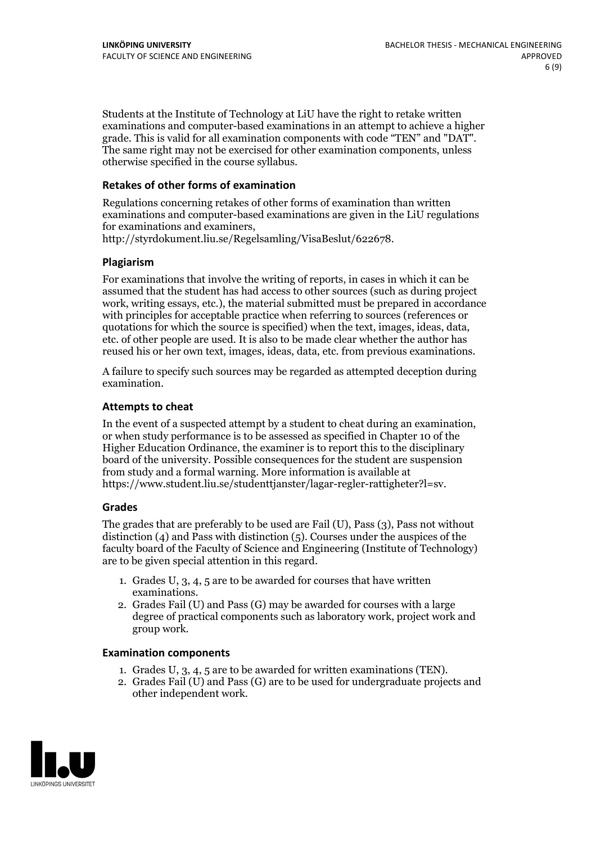Students at the Institute of Technology at LiU have the right to retake written examinations and computer-based examinations in an attempt to achieve a higher grade. This is valid for all examination components with code "TEN" and "DAT". The same right may not be exercised for other examination components, unless otherwise specified in the course syllabus.

### **Retakes of other forms of examination**

Regulations concerning retakes of other forms of examination than written examinations and computer-based examinations are given in the LiU regulations for examinations and examiners, http://styrdokument.liu.se/Regelsamling/VisaBeslut/622678.

### **Plagiarism**

For examinations that involve the writing of reports, in cases in which it can be assumed that the student has had access to other sources (such as during project work, writing essays, etc.), the material submitted must be prepared in accordance with principles for acceptable practice when referring to sources (references or quotations for which the source is specified) when the text, images, ideas, data, etc. of other people are used. It is also to be made clear whether the author has reused his or her own text, images, ideas, data, etc. from previous examinations.

A failure to specify such sources may be regarded as attempted deception during examination.

#### **Attempts to cheat**

In the event of <sup>a</sup> suspected attempt by <sup>a</sup> student to cheat during an examination, or when study performance is to be assessed as specified in Chapter <sup>10</sup> of the Higher Education Ordinance, the examiner is to report this to the disciplinary board of the university. Possible consequences for the student are suspension from study and a formal warning. More information is available at https://www.student.liu.se/studenttjanster/lagar-regler-rattigheter?l=sv.

### **Grades**

The grades that are preferably to be used are Fail (U), Pass (3), Pass not without distinction  $(4)$  and Pass with distinction  $(5)$ . Courses under the auspices of the faculty board of the Faculty of Science and Engineering (Institute of Technology) are to be given special attention in this regard.

- 1. Grades U, 3, 4, 5 are to be awarded for courses that have written
- examinations. 2. Grades Fail (U) and Pass (G) may be awarded for courses with <sup>a</sup> large degree of practical components such as laboratory work, project work and group work.

#### **Examination components**

- 
- 1. Grades U, 3, 4, <sup>5</sup> are to be awarded for written examinations (TEN). 2. Grades Fail (U) and Pass (G) are to be used for undergraduate projects and other independent work.

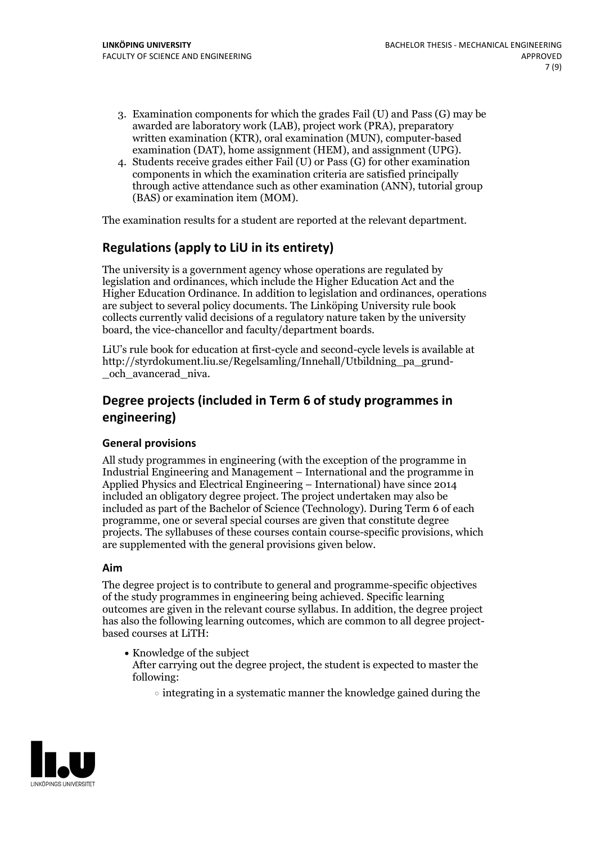- 3. Examination components for which the grades Fail (U) and Pass (G) may be awarded are laboratory work (LAB), project work (PRA), preparatory written examination (KTR), oral examination (MUN), computer-based examination (DAT), home assignment (HEM), and assignment (UPG).
- 4. Students receive grades either Fail (U) or Pass (G) for other examination components in which the examination criteria are satisfied principally through active attendance such as other examination (ANN), tutorial group (BAS) or examination item (MOM).

The examination results for a student are reported at the relevant department.

### **Regulations (applyto LiU in its entirety)**

The university is a government agency whose operations are regulated by legislation and ordinances, which include the Higher Education Act and the Higher Education Ordinance. In addition to legislation and ordinances, operations are subject to several policy documents. The Linköping University rule book collects currently valid decisions of a regulatory nature taken by the university board, the vice-chancellor and faculty/department boards.

LiU's rule book for education at first-cycle and second-cycle levels is available at http://styrdokument.liu.se/Regelsamling/Innehall/Utbildning\_pa\_grund- \_och\_avancerad\_niva.

# **Degree projects (included in Term 6 of study programmes in engineering)**

### **General provisions**

All study programmes in engineering (with the exception of the programme in Industrial Engineering and Management – International and the programme in Applied Physics and Electrical Engineering – International) have since 2014 included an obligatory degree project. The project undertaken may also be included as part of the Bachelor of Science (Technology). During Term 6 of each programme, one or several special courses are given that constitute degree projects. The syllabuses of these courses contain course-specific provisions, which are supplemented with the general provisions given below.

### **Aim**

The degree project is to contribute to general and programme-specific objectives of the study programmes in engineering being achieved. Specific learning outcomes are given in the relevant course syllabus. In addition, the degree project has also the following learning outcomes, which are common to all degree project-<br>based courses at LiTH:

- Knowledge of the subject After carrying out the degree project, the student is expected to master the following:
	- $\circ$  integrating in a systematic manner the knowledge gained during the

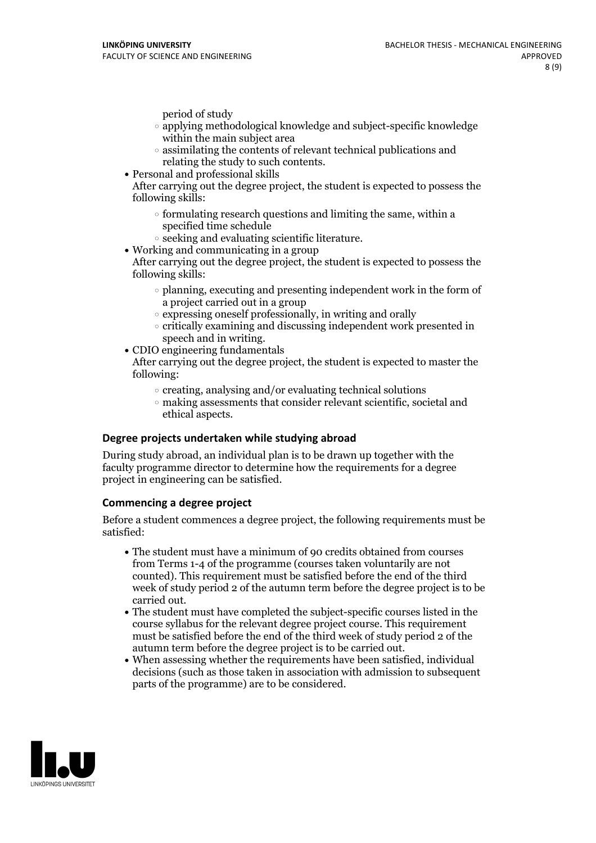period of study

- applying methodological knowledge and subject-specific knowledge within the main subject area
- $\circ$  assimilating the contents of relevant technical publications and relating the study to such contents.<br>• Personal and professional skills
- 

After carrying out the degree project, the student is expected to possess the following skills:

- $\circ$  formulating research questions and limiting the same, within a specified time schedule
- $\circ$  seeking and evaluating scientific literature. <br> Working and communicating in a group
- 

After carrying out the degree project, the student is expected to possess the following skills:

- $\circ$  planning, executing and presenting independent work in the form of a project carried out in a group
- $\circ$  expressing oneself professionally, in writing and orally
- critically examining and discussing independent work presented in
- speech and in writing.<br>• CDIO engineering fundamentals

After carrying out the degree project, the student is expected to master the following:

- $\circ$  creating, analysing and/or evaluating technical solutions
- making assessments that consider relevant scientific, societal and ethical aspects.

### **Degree projects undertaken while studying abroad**

During study abroad, an individual plan is to be drawn up together with the faculty programme director to determine how the requirements for a degree project in engineering can be satisfied.

### **Commencing a degree project**

Before a student commences a degree project, the following requirements must be satisfied:

- The student must have a minimum of 90 credits obtained from courses from Terms 1-4 of the programme (courses taken voluntarily are not counted). This requirement must be satisfied before the end of the third week of study period 2 of the autumn term before the degree project is to be carried out.<br>• The student must have completed the subject-specific courses listed in the
- course syllabus for the relevant degree project course. This requirement must be satisfied before the end of the third week of study period 2 of the autumn term before the degree project is to be carried out. When assessing whether the requirements have been satisfied, individual
- decisions (such as those taken in association with admission to subsequent parts of the programme) are to be considered.